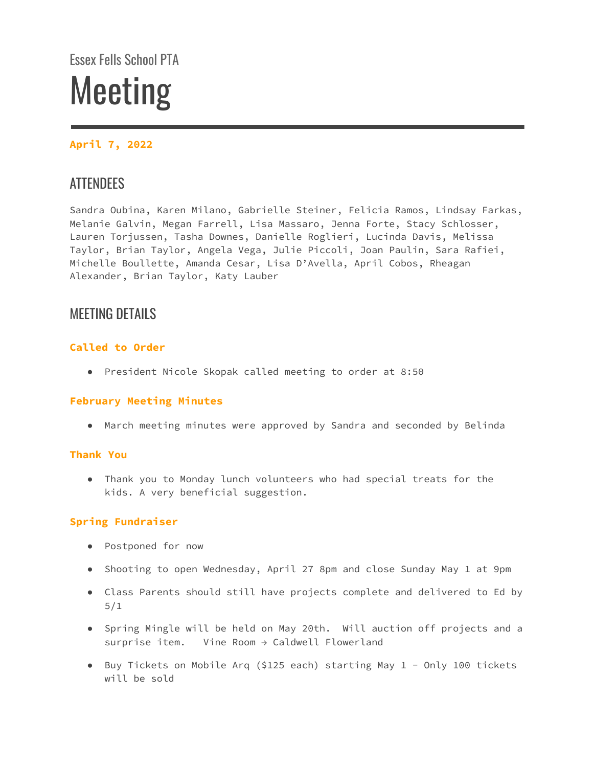# Essex Fells School PTA Meeting

# **April 7, 2022**

# **ATTENDEES**

Sandra Oubina, Karen Milano, Gabrielle Steiner, Felicia Ramos, Lindsay Farkas, Melanie Galvin, Megan Farrell, Lisa Massaro, Jenna Forte, Stacy Schlosser, Lauren Torjussen, Tasha Downes, Danielle Roglieri, Lucinda Davis, Melissa Taylor, Brian Taylor, Angela Vega, Julie Piccoli, Joan Paulin, Sara Rafiei, Michelle Boullette, Amanda Cesar, Lisa D'Avella, April Cobos, Rheagan Alexander, Brian Taylor, Katy Lauber

# MEETING DETAILS

# **Called to Order**

● President Nicole Skopak called meeting to order at 8:50

# **February Meeting Minutes**

● March meeting minutes were approved by Sandra and seconded by Belinda

# **Thank You**

● Thank you to Monday lunch volunteers who had special treats for the kids. A very beneficial suggestion.

# **Spring Fundraiser**

- Postponed for now
- Shooting to open Wednesday, April 27 8pm and close Sunday May 1 at 9pm
- Class Parents should still have projects complete and delivered to Ed by 5/1
- Spring Mingle will be held on May 20th. Will auction off projects and a surprise item. Vine Room  $\rightarrow$  Caldwell Flowerland
- Buy Tickets on Mobile Arq (\$125 each) starting May 1 Only 100 tickets will be sold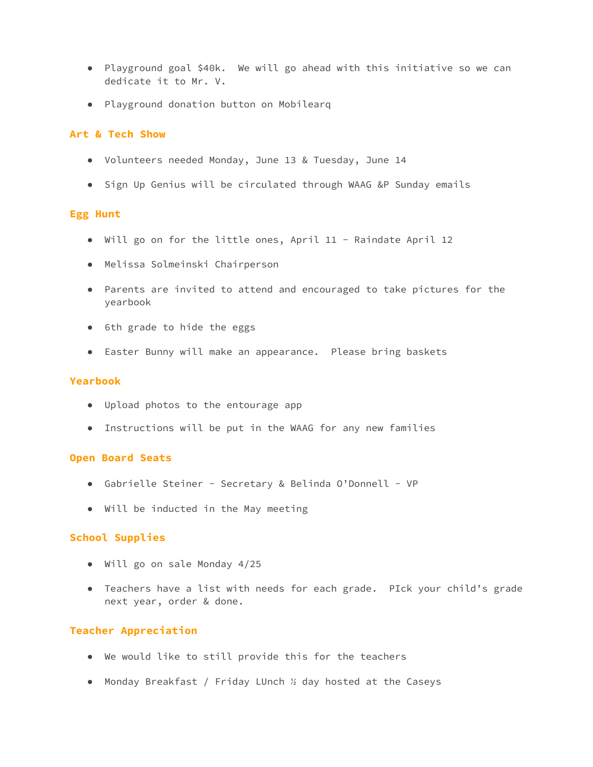- Playground goal \$40k. We will go ahead with this initiative so we can dedicate it to Mr. V.
- Playground donation button on Mobilearq

#### **Art & Tech Show**

- Volunteers needed Monday, June 13 & Tuesday, June 14
- Sign Up Genius will be circulated through WAAG &P Sunday emails

#### **Egg Hunt**

- Will go on for the little ones, April 11 Raindate April 12
- Melissa Solmeinski Chairperson
- Parents are invited to attend and encouraged to take pictures for the yearbook
- 6th grade to hide the eggs
- Easter Bunny will make an appearance. Please bring baskets

#### **Yearbook**

- Upload photos to the entourage app
- Instructions will be put in the WAAG for any new families

#### **Open Board Seats**

- Gabrielle Steiner Secretary & Belinda O'Donnell VP
- Will be inducted in the May meeting

#### **School Supplies**

- Will go on sale Monday 4/25
- Teachers have a list with needs for each grade. PIck your child's grade next year, order & done.

#### **Teacher Appreciation**

- We would like to still provide this for the teachers
- Monday Breakfast / Friday LUnch ½ day hosted at the Caseys